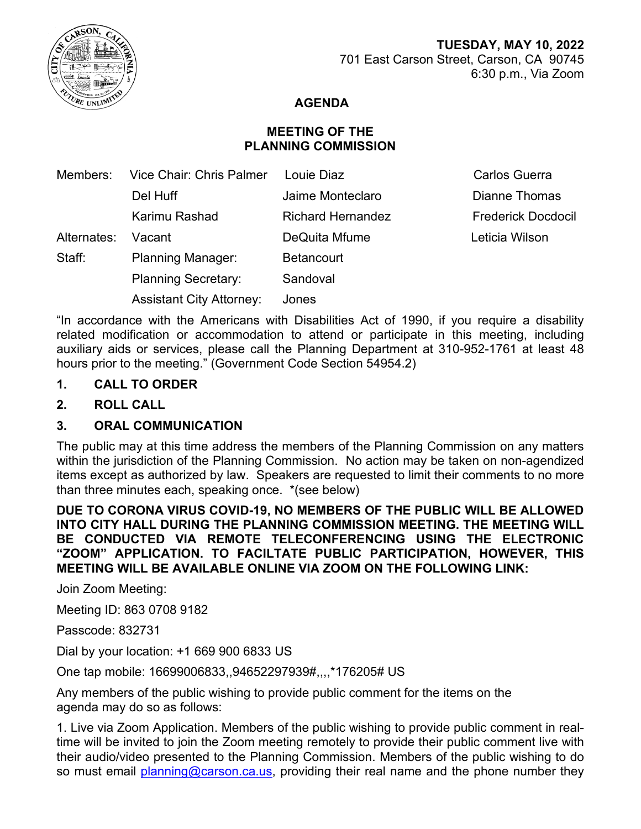

# **AGENDA**

# **MEETING OF THE PLANNING COMMISSION**

| Members:    | Vice Chair: Chris Palmer        | Louie Diaz               | <b>Carlos Guerra</b>      |
|-------------|---------------------------------|--------------------------|---------------------------|
|             | Del Huff                        | Jaime Monteclaro         | <b>Dianne Thomas</b>      |
|             | Karimu Rashad                   | <b>Richard Hernandez</b> | <b>Frederick Docdocil</b> |
| Alternates: | Vacant                          | DeQuita Mfume            | Leticia Wilson            |
| Staff:      | <b>Planning Manager:</b>        | <b>Betancourt</b>        |                           |
|             | <b>Planning Secretary:</b>      | Sandoval                 |                           |
|             | <b>Assistant City Attorney:</b> | Jones                    |                           |

"In accordance with the Americans with Disabilities Act of 1990, if you require a disability related modification or accommodation to attend or participate in this meeting, including auxiliary aids or services, please call the Planning Department at 310-952-1761 at least 48 hours prior to the meeting." (Government Code Section 54954.2)

### **1. CALL TO ORDER**

**2. ROLL CALL**

## **3. ORAL COMMUNICATION**

The public may at this time address the members of the Planning Commission on any matters within the jurisdiction of the Planning Commission. No action may be taken on non-agendized items except as authorized by law. Speakers are requested to limit their comments to no more than three minutes each, speaking once. \*(see below)

**DUE TO CORONA VIRUS COVID-19, NO MEMBERS OF THE PUBLIC WILL BE ALLOWED INTO CITY HALL DURING THE PLANNING COMMISSION MEETING. THE MEETING WILL BE CONDUCTED VIA REMOTE TELECONFERENCING USING THE ELECTRONIC "ZOOM" APPLICATION. TO FACILTATE PUBLIC PARTICIPATION, HOWEVER, THIS MEETING WILL BE AVAILABLE ONLINE VIA ZOOM ON THE FOLLOWING LINK:**

Join Zoom Meeting:

Meeting ID: 863 0708 9182

Passcode: 832731

Dial by your location: +1 669 900 6833 US

One tap mobile: 16699006833,,94652297939#,,,,\*176205# US

Any members of the public wishing to provide public comment for the items on the agenda may do so as follows:

1. Live via Zoom Application. Members of the public wishing to provide public comment in realtime will be invited to join the Zoom meeting remotely to provide their public comment live with their audio/video presented to the Planning Commission. Members of the public wishing to do so must email [planning@carson.ca.us,](mailto:planning@carson.ca.us) providing their real name and the phone number they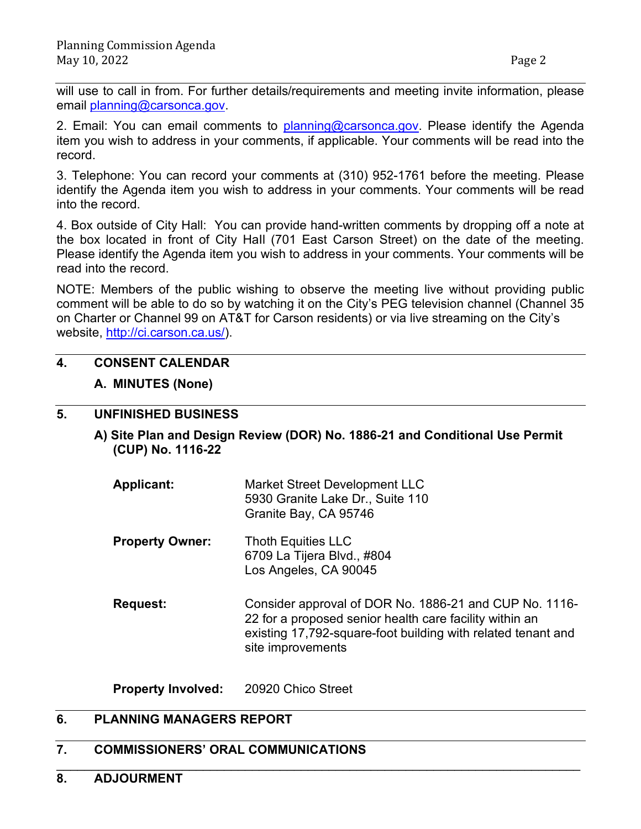will use to call in from. For further details/requirements and meeting invite information, please email [planning@carsonca.gov.](mailto:planning@carsonca.gov)

2. Email: You can email comments to [planning@carsonca.gov.](mailto:planning@carsonca.gov) Please identify the Agenda item you wish to address in your comments, if applicable. Your comments will be read into the record.

3. Telephone: You can record your comments at (310) 952-1761 before the meeting. Please identify the Agenda item you wish to address in your comments. Your comments will be read into the record.

4. Box outside of City Hall: You can provide hand-written comments by dropping off a note at the box located in front of City HaIl (701 East Carson Street) on the date of the meeting. Please identify the Agenda item you wish to address in your comments. Your comments will be read into the record.

NOTE: Members of the public wishing to observe the meeting live without providing public comment will be able to do so by watching it on the City's PEG television channel (Channel 35 on Charter or Channel 99 on AT&T for Carson residents) or via live streaming on the City's website, [http://ci.carson.ca.us/\)](http://ci.carson.ca.us/).

## **4. CONSENT CALENDAR**

### **A. MINUTES (None)**

### **5. UNFINISHED BUSINESS**

- **A) Site Plan and Design Review (DOR) No. 1886-21 and Conditional Use Permit (CUP) No. 1116-22** 
	- **Applicant:** Market Street Development LLC 5930 Granite Lake Dr., Suite 110 Granite Bay, CA 95746
	- **Property Owner:** Thoth Equities LLC 6709 La Tijera Blvd., #804 Los Angeles, CA 90045
	- **Request:** Consider approval of DOR No. 1886-21 and CUP No. 1116- 22 for a proposed senior health care facility within an existing 17,792-square-foot building with related tenant and site improvements

**Property Involved:** 20920 Chico Street

## **6. PLANNING MANAGERS REPORT**

#### **7. COMMISSIONERS' ORAL COMMUNICATIONS**

\_\_\_\_\_\_\_\_\_\_\_\_\_\_\_\_\_\_\_\_\_\_\_\_\_\_\_\_\_\_\_\_\_\_\_\_\_\_\_\_\_\_\_\_\_\_\_\_\_\_\_\_\_\_\_\_\_\_\_\_\_\_\_\_\_\_\_\_\_\_\_\_\_\_\_ **8. ADJOURMENT**